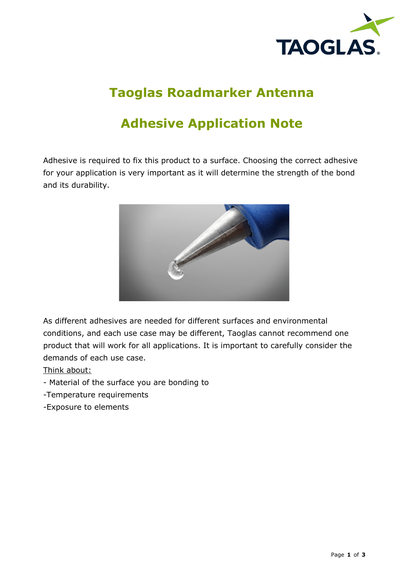

# **Taoglas Roadmarker Antenna**

## **Adhesive Application Note**

Adhesive is required to fix this product to a surface. Choosing the correct adhesive for your application is very important as it will determine the strength of the bond and its durability.



As different adhesives are needed for different surfaces and environmental conditions, and each use case may be different, Taoglas cannot recommend one product that will work for all applications. It is important to carefully consider the demands of each use case.

Think about:

- Material of the surface you are bonding to
- -Temperature requirements
- -Exposure to elements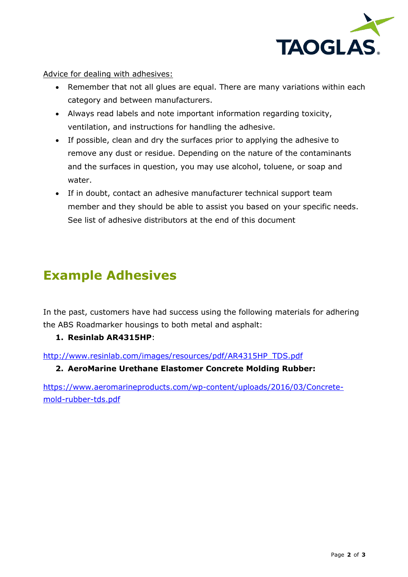

Advice for dealing with adhesives:

- Remember that not all glues are equal. There are many variations within each category and between manufacturers.
- Always read labels and note important information regarding toxicity, ventilation, and instructions for handling the adhesive.
- If possible, clean and dry the surfaces prior to applying the adhesive to remove any dust or residue. Depending on the nature of the contaminants and the surfaces in question, you may use alcohol, toluene, or soap and water.
- If in doubt, contact an adhesive manufacturer technical support team member and they should be able to assist you based on your specific needs. See list of adhesive distributors at the end of this document

### **Example Adhesives**

In the past, customers have had success using the following materials for adhering the ABS Roadmarker housings to both metal and asphalt:

### **1. Resinlab AR4315HP**:

http://www.resinlab.com/images/resources/pdf/AR4315HP\_TDS.pdf

#### **2. AeroMarine Urethane Elastomer Concrete Molding Rubber:**

https://www.aeromarineproducts.com/wp-content/uploads/2016/03/Concretemold-rubber-tds.pdf